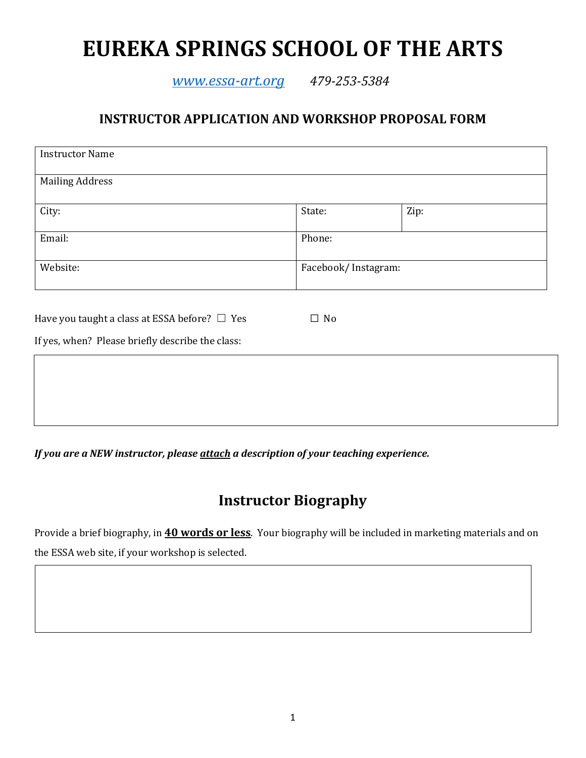# **EUREKA SPRINGS SCHOOL OF THE ARTS**

*[www.essa-art.org](http://www.essa-art.org/) 479-253-5384* 

#### **INSTRUCTOR APPLICATION AND WORKSHOP PROPOSAL FORM**

| <b>Instructor Name</b>                             |                     |      |  |
|----------------------------------------------------|---------------------|------|--|
| <b>Mailing Address</b>                             |                     |      |  |
| City:                                              | State:              | Zip: |  |
| Email:                                             | Phone:              |      |  |
| Website:                                           | Facebook/Instagram: |      |  |
| Have you taught a class at ESSA before? $\Box$ Yes | $\Box$ No           |      |  |
| If yes, when? Please briefly describe the class:   |                     |      |  |
|                                                    |                     |      |  |
|                                                    |                     |      |  |
|                                                    |                     |      |  |

*If you are a NEW instructor, please attach a description of your teaching experience.*

# **Instructor Biography**

Provide a brief biography, in **40 words or less**. Your biography will be included in marketing materials and on the ESSA web site, if your workshop is selected.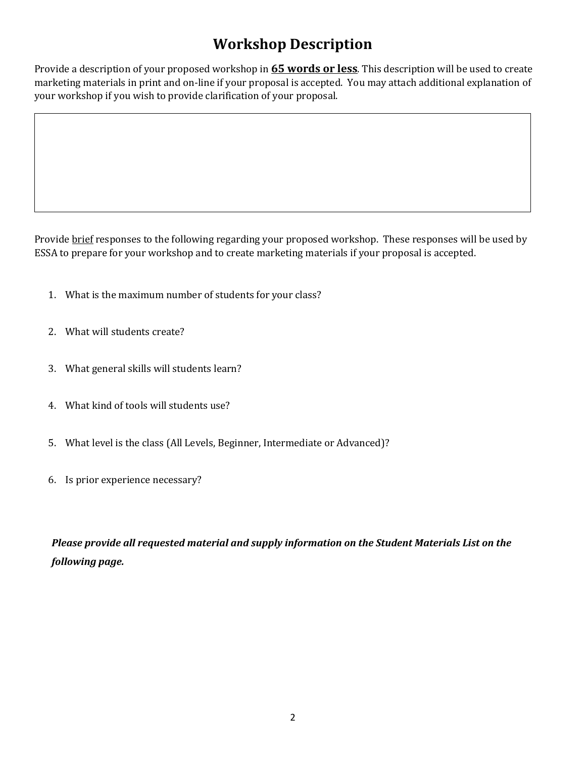# **Workshop Description**

Provide a description of your proposed workshop in **65 words or less**. This description will be used to create marketing materials in print and on-line if your proposal is accepted. You may attach additional explanation of your workshop if you wish to provide clarification of your proposal.

Provide brief responses to the following regarding your proposed workshop. These responses will be used by ESSA to prepare for your workshop and to create marketing materials if your proposal is accepted.

- 1. What is the maximum number of students for your class?
- 2. What will students create?
- 3. What general skills will students learn?
- 4. What kind of tools will students use?
- 5. What level is the class (All Levels, Beginner, Intermediate or Advanced)?
- 6. Is prior experience necessary?

*Please provide all requested material and supply information on the Student Materials List on the following page.*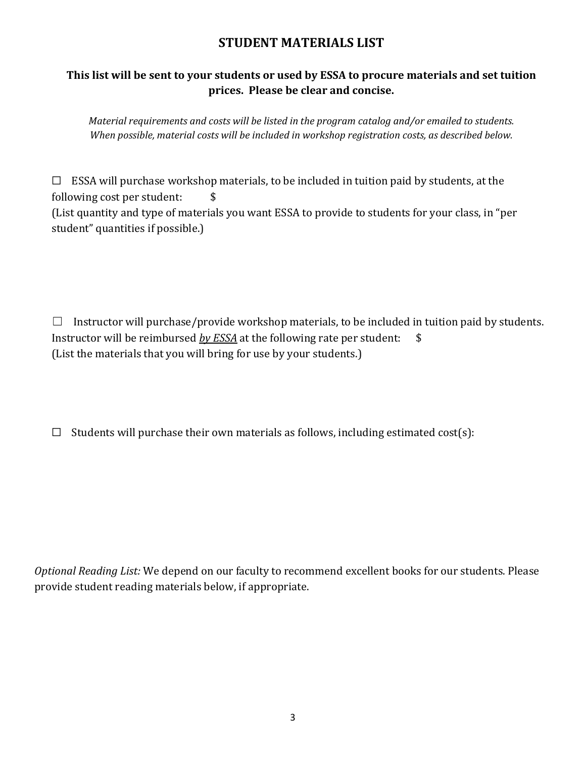#### **STUDENT MATERIALS LIST**

#### **This list will be sent to your students or used by ESSA to procure materials and set tuition prices. Please be clear and concise.**

*Material requirements and costs will be listed in the program catalog and/or emailed to students. When possible, material costs will be included in workshop registration costs, as described below.* 

☐ ESSA will purchase workshop materials, to be included in tuition paid by students, at the following cost per student: \$ (List quantity and type of materials you want ESSA to provide to students for your class, in "per student" quantities if possible.)

 $\Box$  Instructor will purchase/provide workshop materials, to be included in tuition paid by students. Instructor will be reimbursed *by ESSA* at the following rate per student: \$ (List the materials that you will bring for use by your students.)

 $\Box$  Students will purchase their own materials as follows, including estimated cost(s):

*Optional Reading List:* We depend on our faculty to recommend excellent books for our students. Please provide student reading materials below, if appropriate.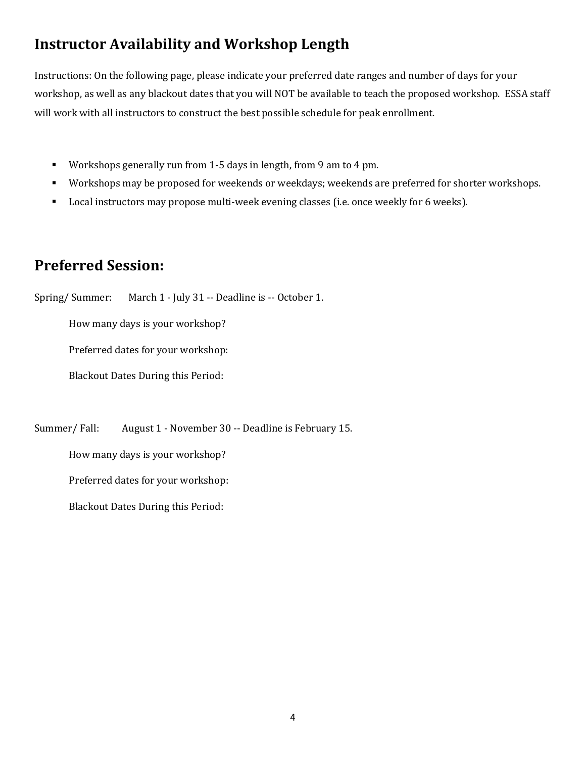## **Instructor Availability and Workshop Length**

Instructions: On the following page, please indicate your preferred date ranges and number of days for your workshop, as well as any blackout dates that you will NOT be available to teach the proposed workshop. ESSA staff will work with all instructors to construct the best possible schedule for peak enrollment.

- Workshops generally run from 1-5 days in length, from 9 am to 4 pm.
- Workshops may be proposed for weekends or weekdays; weekends are preferred for shorter workshops.
- Local instructors may propose multi-week evening classes (i.e. once weekly for 6 weeks).

### **Preferred Session:**

Spring/ Summer: March 1 - July 31 -- Deadline is -- October 1.

How many days is your workshop?

Preferred dates for your workshop:

Blackout Dates During this Period:

Summer/ Fall: August 1 - November 30 -- Deadline is February 15.

How many days is your workshop?

Preferred dates for your workshop:

Blackout Dates During this Period: